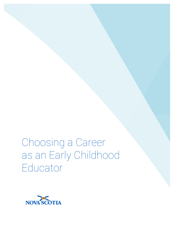Choosing a Career as an Early Childhood Educator

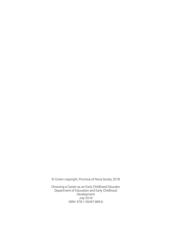© Crown copyright, Province of Nova Scotia, 2018

Choosing a Career as an Early Childhood Educator Department of Education and Early Childhood Development July 2018 ISBN: 978-1-55457-869-6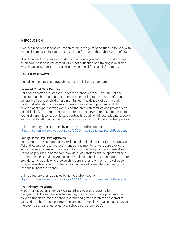## INTRODUCTION

A career in early childhood education offers a range of opportunities to work with young children and their families — children from birth through 12 years of age.

This document provides information about where you can work, what it is like to be an early childhood educator (ECE), what education and training is available, what financial support is available, and who to call for more information.

### CAREER PATHWAYS

Multiple career paths are available to early childhood educators:

### Licensed Child Care Centres

Child care centres are licensed under the authority of the Day Care Act and Regulations. This ensures that standards pertaining to the health, safety, and general well-being of children are maintained. The delivery of quality early childhood education programs involves educators with program and child development expertise who work in partnership with families and provide playbased, inclusive programming to nurture the best developmental outcomes for young children. Licensed child care centres hire early childhood educators, cooks, and support staff. Recruitment is the responsibility of child care centre operators.

Online directory of all facilities by name, type, and/or location: https://nsbr-online-services.gov.ns.ca/DCSOnline/ECDS/loadSearchPage.action

### Family Home Day Care Agencies

Family home day care agencies are licensed under the authority of the Day Care Act and Regulations to approve, manage, and monitor private care providers in their homes. Licensing is voluntary for in-home care providers themselves. Licensing provides in-home care providers with professional support and help to enhance their services. Agencies hire trained consultants to support the care providers. Individuals who provide child care in their own home may choose to register with an agency to become an approved home. Recruitment is the responsibility of the agency.

Online directory of all agencies by name and/or location: https://nsbr-online-services.gov.ns.ca/DCSOnline/ECDS/loadSearchPage.action

### Pre-Primary Programs

Pre-primary programs are child-centered, play-based programs for four-year-old children the year before they start school. These programs help children transition into the school system and give children the best start to succeed in school and life. Programs are established in various schools across the province and staffed by early childhood educators (ECE).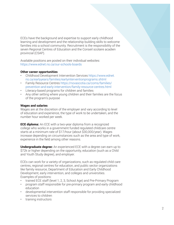ECEs have the background and expertise to support early childhood learning and development and the relationship building skills to welcome families into a school community. Recruitment is the responsibility of the seven Regional Centres of Education and the Conseil scolaire acadien provincial (CSAP).

Available positions are posted on their individual websites: https://www.ednet.ns.ca/our-schools-boards

## Other career opportunities

- Childhood Development Intervention Services https://www.ednet. ns.ca/earlyyears/families/earlyinterventionprograms.shtml
- Family Resource Centres https://novascotia.ca/coms/families/ prevention-and-early-intervention/family-resource-centres.html
- Literacy-based programs for children and families
- Any other setting where young children and their families are the focus of the program's purpose

# Wages and salaries

Wages are at the discretion of the employer and vary according to level of education and experience, the type of work to be undertaken, and the number hour worked per week.

**ECE diploma:** An ECE with a two-year diploma from a recognized college who works in a government funded regulated childcare centre starts at a minimum rate of \$17/hour (about \$30,000/year). Wages increase depending on circumstances such as the area and type of work, experience in the field among other reasons.

**Undergraduate degree:** An experienced ECE with a degree can earn up to \$72k or higher depending on the opportunity, education (such as a Child and Youth Study degree), and employer.

ECEs can work for a variety of organizations, such as regulated child care centres, regional centres for education, and public sector organizations like family resource, Department of Education and Early Childhood Development, early intervention, and colleges and universities. Examples of positions:

- trained ECE staff (level 1, 2, 3, School Age) and Pre-Primary Program
- program staff responsible for pre-primary program and early childhood education
- developmental intervention staff responsible for providing specialized services to children
- training instructors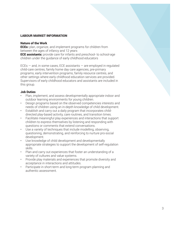## LABOUR MARKET INFORMATION

#### Nature of the Work

**ECEs:** plan, organize, and implement programs for children from between the ages of infancy and 12 years **ECE assistants:** provide care for infants and preschool- to school-age children under the guidance of early childhood educators

 $ECEs - and$ , in some cases, ECE assistants  $-$  are employed in regulated child-care centres, family home day care agencies, pre-primary programs, early intervention programs, family resource centres, and other settings where early childhood education services are provided. Supervisors of early childhood educators and assistants are included in this group.

## Job Duties

- Plan, implement, and assess developmentally appropriate indoor and outdoor learning environments for young children.
- Design programs based on the observed competencies interests and needs of children using an in-depth knowledge of child development.
- Establish and carry out a daily program that incorporates childdirected play-based activity, care routines, and transition times.
- Facilitate meaningful play experiences and interactions that support children to express themselves by listening and responding with questions or comments that extend conversations.
- Use a variety of techniques that include modelling, observing, questioning, demonstrating, and reinforcing to nurture pro-social development.
- Use knowledge of child development and developmentally appropriate strategies to support the development of self-regulation skills.
- Plan and carry out experiences that foster an understanding of a variety of cultures and value systems.
- Provide play materials and experiences that promote diversity and acceptance in interactions and attitudes.
- Participate in short-term and long-term program planning and authentic assessment.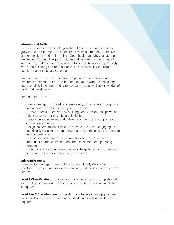#### Interests and Skills

To pursue a career in this field, you should have an interest in human growth and development, and a desire to make a difference in the lives of young children and their families. Good health and physical stamina are needed. You must respect children and families, be open-minded, imaginative, and resourceful. You need to be able to work cooperatively with a team. Strong communication skills and the ability to nurture positive relationships are essential.

Training programs across the province provide students working towards a credential in Early Childhood Education with the necessary operational skills to support day-to-day activities as well as knowledge of childhood development.

For instance, ECEs

- Have an in-depth knowledge of emotional, social, physical, cognitive, and language development of young children.
- Are role models for children by building positive relationships which reflect a respect for diversity and inclusion.
- Create diverse, inclusive, and safe environments that support early learning experiences.
- Design, implement, and reflect on how best to create engaging playbased early learning environments that reflect the children's interests and competencies.
- Have strong observation skills and ability to clearly document and reflect on those observations for assessment and planning purposes.
- Continually strive to increase their knowledge to remain current with best practices in early learning and child care.

# Job requirements

Licensing by the Department of Education and Early Childhood Development is required for work as an early childhood educator in Nova Scotia:

**Level 1 Classification:** A combination of experience and completion of some ECE program courses offered by a recognized training institution is required.

**Level 2 or 3 Classification:** Completion of a two-year college program in early childhood education or a bachelor's degree in child development is required.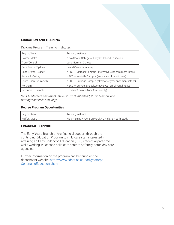# EDUCATION AND TRAINING

Diploma Program Training Institutes

| Region/Area          | Training Institute                                         |
|----------------------|------------------------------------------------------------|
| Halifax/Metro        | Nova Scotia College of Early Childhood Education           |
| Truro/Central        | Jane Norman College                                        |
| Cape Breton/Sydney   | Island Career Academy                                      |
| Cape Breton/Sydney   | NSCC - Marconi Campus (alternative year enrolment intake)  |
| Annapolis Valley     | NSCC - Kentville Campus (annual enrolment intake)          |
| South Shore/Yarmouth | NSCC - Burridge Campus (alternative year enrolment intake) |
| Northern             | NSCC - Cumberland (alternative year enrolment intake)      |
| Provincial - French  | Université Sainte-Anne (online only)                       |

*\*NSCC alternate enrolment intake: 2018: Cumberland; 2019: Marconi and Burridge; Kentville annually)*

# Degree Program Opportunities

| Region/Area   | Training Institute                                    |
|---------------|-------------------------------------------------------|
| Halifax/Metro | Mount Saint Vincent University, Child and Youth Study |

# FINANCIAL SUPPORT

The Early Years Branch offers financial support through the continuing Education Program to child care staff interested in attaining an Early Childhood Education (ECE) credential part-time while working in licensed child care centers or family home day care agencies.

Further information on the program can be found on the department website: https://www.ednet.ns.ca/earlyyears/pd/ ContinuingEducation.shtml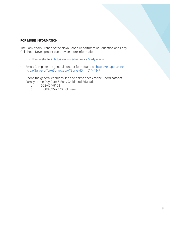## FOR MORE INFORMATION

The Early Years Branch of the Nova Scotia Department of Education and Early Childhood Development can provide more information.

- Visit their website at https://www.ednet.ns.ca/earlyyears/
- Email: Complete the general contact form found at: https://edapps.ednet. ns.ca/Surveys/TakeSurvey.aspx?SurveyID=m61M484#
- Phone the general enquiries line and ask to speak to the Coordinator of Family Home Day Care & Early Childhood Education
	- o 902-424-5168
	- o 1-888-825-7770 (toll free)